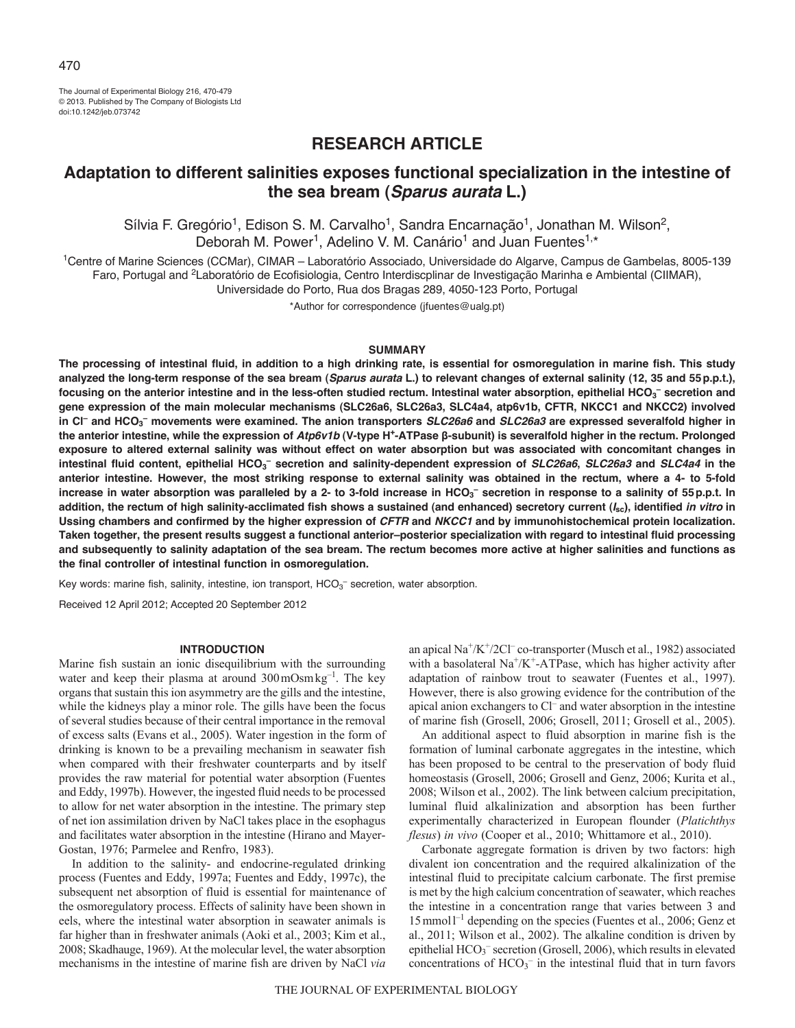The Journal of Experimental Biology 216, 470-479 © 2013. Published by The Company of Biologists Ltd doi:10.1242/jeb.073742

# **RESEARCH ARTICLE**

# **Adaptation to different salinities exposes functional specialization in the intestine of the sea bream (***Sparus aurata* **L.)**

Sílvia F. Gregório<sup>1</sup>, Edison S. M. Carvalho<sup>1</sup>, Sandra Encarnação<sup>1</sup>, Jonathan M. Wilson<sup>2</sup>, Deborah M. Power<sup>1</sup>, Adelino V. M. Canário<sup>1</sup> and Juan Fuentes<sup>1,\*</sup>

1Centre of Marine Sciences (CCMar), CIMAR – Laboratório Associado, Universidade do Algarve, Campus de Gambelas, 8005-139 Faro, Portugal and <sup>2</sup>Laboratório de Ecofisiologia, Centro Interdiscplinar de Investigação Marinha e Ambiental (CIIMAR),

Universidade do Porto, Rua dos Bragas 289, 4050-123 Porto, Portugal

\*Author for correspondence (jfuentes@ualg.pt)

### **SUMMARY**

**The processing of intestinal fluid, in addition to a high drinking rate, is essential for osmoregulation in marine fish. This study analyzed the long-term response of the sea bream (***Sparus aurata* **L.) to relevant changes of external salinity (12, 35 and 55p.p.t.), focusing on the anterior intestine and in the less-often studied rectum. Intestinal water absorption, epithelial HCO3 – secretion and gene expression of the main molecular mechanisms (SLC26a6, SLC26a3, SLC4a4, atp6v1b, CFTR, NKCC1 and NKCC2) involved in Cl– and HCO3 – movements were examined. The anion transporters** *SLC26a6* **and** *SLC26a3* **are expressed severalfold higher in the anterior intestine, while the expression of** *Atp6v1b* **(V-type H+-ATPase β-subunit) is severalfold higher in the rectum. Prolonged exposure to altered external salinity was without effect on water absorption but was associated with concomitant changes in intestinal fluid content, epithelial HCO3 – secretion and salinity-dependent expression of** *SLC26a6***,** *SLC26a3* **and** *SLC4a4* **in the anterior intestine. However, the most striking response to external salinity was obtained in the rectum, where a 4- to 5-fold** increase in water absorption was paralleled by a 2- to 3-fold increase in HCO<sub>3</sub><sup>-</sup> secretion in response to a salinity of 55p.p.t. In **addition, the rectum of high salinity-acclimated fish shows a sustained (and enhanced) secretory current (***I***sc), identified** *in vitro* **in Ussing chambers and confirmed by the higher expression of** *CFTR* **and** *NKCC1* **and by immunohistochemical protein localization. Taken together, the present results suggest a functional anterior–posterior specialization with regard to intestinal fluid processing and subsequently to salinity adaptation of the sea bream. The rectum becomes more active at higher salinities and functions as the final controller of intestinal function in osmoregulation.**

Key words: marine fish, salinity, intestine, ion transport, HCO<sub>3</sub><sup>-</sup> secretion, water absorption.

Received 12 April 2012; Accepted 20 September 2012

# **INTRODUCTION**

Marine fish sustain an ionic disequilibrium with the surrounding water and keep their plasma at around 300 mOsm kg<sup>-1</sup>. The key organs that sustain this ion asymmetry are the gills and the intestine, while the kidneys play a minor role. The gills have been the focus of several studies because of their central importance in the removal of excess salts (Evans et al., 2005). Water ingestion in the form of drinking is known to be a prevailing mechanism in seawater fish when compared with their freshwater counterparts and by itself provides the raw material for potential water absorption (Fuentes and Eddy, 1997b). However, the ingested fluid needs to be processed to allow for net water absorption in the intestine. The primary step of net ion assimilation driven by NaCl takes place in the esophagus and facilitates water absorption in the intestine (Hirano and Mayer-Gostan, 1976; Parmelee and Renfro, 1983).

In addition to the salinity- and endocrine-regulated drinking process (Fuentes and Eddy, 1997a; Fuentes and Eddy, 1997c), the subsequent net absorption of fluid is essential for maintenance of the osmoregulatory process. Effects of salinity have been shown in eels, where the intestinal water absorption in seawater animals is far higher than in freshwater animals (Aoki et al., 2003; Kim et al., 2008; Skadhauge, 1969). At the molecular level, the water absorption mechanisms in the intestine of marine fish are driven by NaCl *via*

an apical Na<sup>+</sup>/K<sup>+</sup>/2Cl<sup>–</sup> co-transporter (Musch et al., 1982) associated with a basolateral  $Na^+/K^+$ -ATPase, which has higher activity after adaptation of rainbow trout to seawater (Fuentes et al., 1997). However, there is also growing evidence for the contribution of the apical anion exchangers to Cl– and water absorption in the intestine of marine fish (Grosell, 2006; Grosell, 2011; Grosell et al., 2005).

An additional aspect to fluid absorption in marine fish is the formation of luminal carbonate aggregates in the intestine, which has been proposed to be central to the preservation of body fluid homeostasis (Grosell, 2006; Grosell and Genz, 2006; Kurita et al., 2008; Wilson et al., 2002). The link between calcium precipitation, luminal fluid alkalinization and absorption has been further experimentally characterized in European flounder (*Platichthys flesus*) *in vivo* (Cooper et al., 2010; Whittamore et al., 2010).

Carbonate aggregate formation is driven by two factors: high divalent ion concentration and the required alkalinization of the intestinal fluid to precipitate calcium carbonate. The first premise is met by the high calcium concentration of seawater, which reaches the intestine in a concentration range that varies between 3 and 15mmoll –1 depending on the species (Fuentes et al., 2006; Genz et al., 2011; Wilson et al., 2002). The alkaline condition is driven by epithelial HCO<sub>3</sub><sup>-</sup> secretion (Grosell, 2006), which results in elevated concentrations of  $HCO_3^-$  in the intestinal fluid that in turn favors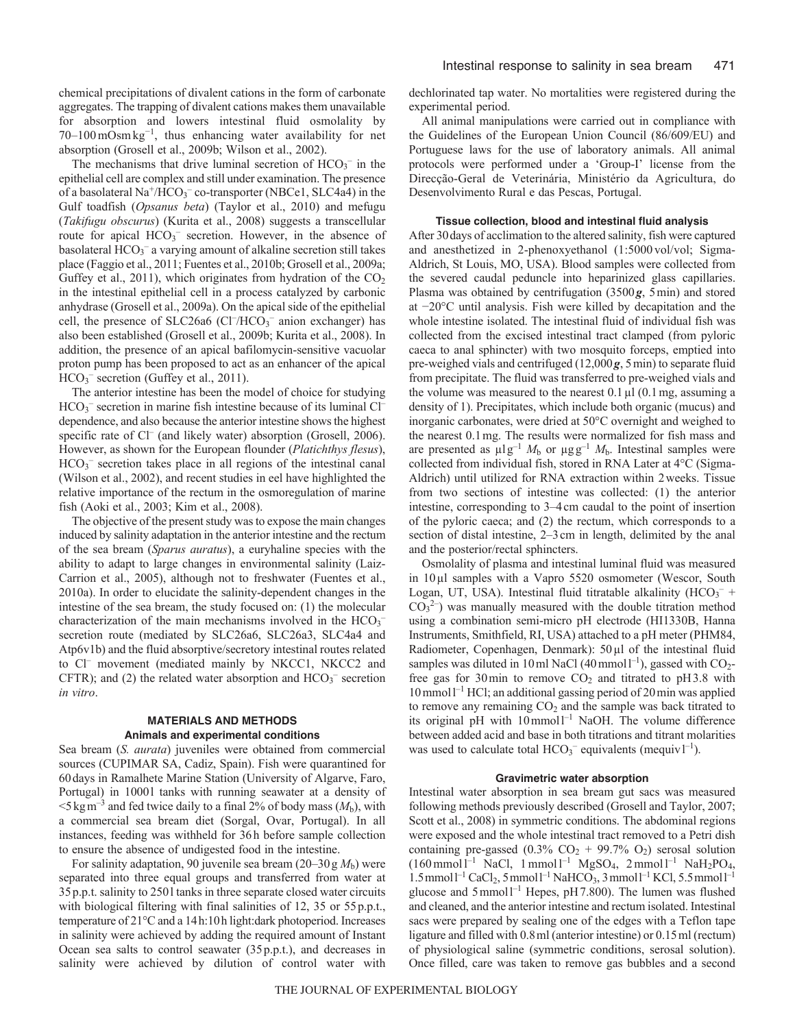chemical precipitations of divalent cations in the form of carbonate aggregates. The trapping of divalent cations makes them unavailable for absorption and lowers intestinal fluid osmolality by 70–100 mOsm kg<sup>-1</sup>, thus enhancing water availability for net absorption (Grosell et al., 2009b; Wilson et al., 2002).

The mechanisms that drive luminal secretion of  $HCO_3^-$  in the epithelial cell are complex and still under examination. The presence of a basolateral  $\text{Na}^+/\text{HCO}_3^-$  co-transporter (NBCe1, SLC4a4) in the Gulf toadfish (*Opsanus beta*) (Taylor et al., 2010) and mefugu (*Takifugu obscurus*) (Kurita et al., 2008) suggests a transcellular route for apical HCO<sub>3</sub><sup>-</sup> secretion. However, in the absence of basolateral HCO<sub>3</sub><sup>-</sup> a varying amount of alkaline secretion still takes place (Faggio et al., 2011; Fuentes et al., 2010b; Grosell et al., 2009a; Guffey et al., 2011), which originates from hydration of the  $CO<sub>2</sub>$ in the intestinal epithelial cell in a process catalyzed by carbonic anhydrase (Grosell et al., 2009a). On the apical side of the epithelial cell, the presence of SLC26a6 (Cl<sup>-</sup>/HCO<sub>3</sub><sup>-</sup> anion exchanger) has also been established (Grosell et al., 2009b; Kurita et al., 2008). In addition, the presence of an apical bafilomycin-sensitive vacuolar proton pump has been proposed to act as an enhancer of the apical HCO<sub>3</sub><sup>-</sup> secretion (Guffey et al., 2011).

The anterior intestine has been the model of choice for studying HCO<sub>3</sub><sup>-</sup> secretion in marine fish intestine because of its luminal Cl<sup>-</sup> dependence, and also because the anterior intestine shows the highest specific rate of Cl<sup>–</sup> (and likely water) absorption (Grosell, 2006). However, as shown for the European flounder (*Platichthys flesus*), HCO<sub>3</sub><sup>-</sup> secretion takes place in all regions of the intestinal canal (Wilson et al., 2002), and recent studies in eel have highlighted the relative importance of the rectum in the osmoregulation of marine fish (Aoki et al., 2003; Kim et al., 2008).

The objective of the present study was to expose the main changes induced by salinity adaptation in the anterior intestine and the rectum of the sea bream (*Sparus auratus*), a euryhaline species with the ability to adapt to large changes in environmental salinity (Laiz-Carrion et al., 2005), although not to freshwater (Fuentes et al., 2010a). In order to elucidate the salinity-dependent changes in the intestine of the sea bream, the study focused on: (1) the molecular characterization of the main mechanisms involved in the  $HCO<sub>3</sub>$ <sup>-</sup> secretion route (mediated by SLC26a6, SLC26a3, SLC4a4 and Atp6v1b) and the fluid absorptive/secretory intestinal routes related to Cl<sup>–</sup> movement (mediated mainly by NKCC1, NKCC2 and CFTR); and (2) the related water absorption and  $HCO<sub>3</sub>^-$  secretion *in vitro*.

# **MATERIALS AND METHODS Animals and experimental conditions**

Sea bream (*S. aurata*) juveniles were obtained from commercial sources (CUPIMAR SA, Cadiz, Spain). Fish were quarantined for 60days in Ramalhete Marine Station (University of Algarve, Faro, Portugal) in 1000l tanks with running seawater at a density of  $\leq$ 5 kg m<sup>-3</sup> and fed twice daily to a final 2% of body mass ( $M<sub>b</sub>$ ), with a commercial sea bream diet (Sorgal, Ovar, Portugal). In all instances, feeding was withheld for 36h before sample collection to ensure the absence of undigested food in the intestine.

For salinity adaptation, 90 juvenile sea bream  $(20-30g M_b)$  were separated into three equal groups and transferred from water at 35p.p.t. salinity to 250l tanks in three separate closed water circuits with biological filtering with final salinities of 12, 35 or 55 p.p.t., temperature of 21°C and a 14h:10h light:dark photoperiod. Increases in salinity were achieved by adding the required amount of Instant Ocean sea salts to control seawater (35p.p.t.), and decreases in salinity were achieved by dilution of control water with dechlorinated tap water. No mortalities were registered during the experimental period.

All animal manipulations were carried out in compliance with the Guidelines of the European Union Council (86/609/EU) and Portuguese laws for the use of laboratory animals. All animal protocols were performed under a 'Group-I' license from the Direcção-Geral de Veterinária, Ministério da Agricultura, do Desenvolvimento Rural e das Pescas, Portugal.

## **Tissue collection, blood and intestinal fluid analysis**

After 30days of acclimation to the altered salinity, fish were captured and anesthetized in 2-phenoxyethanol (1:5000 vol/vol; Sigma-Aldrich, St Louis, MO, USA). Blood samples were collected from the severed caudal peduncle into heparinized glass capillaries. Plasma was obtained by centrifugation (3500*g*, 5min) and stored at −20°C until analysis. Fish were killed by decapitation and the whole intestine isolated. The intestinal fluid of individual fish was collected from the excised intestinal tract clamped (from pyloric caeca to anal sphincter) with two mosquito forceps, emptied into pre-weighed vials and centrifuged (12,000*g*, 5min) to separate fluid from precipitate. The fluid was transferred to pre-weighed vials and the volume was measured to the nearest  $0.1 \mu$ l (0.1 mg, assuming a density of 1). Precipitates, which include both organic (mucus) and inorganic carbonates, were dried at 50°C overnight and weighed to the nearest 0.1mg. The results were normalized for fish mass and are presented as  $\mu$ lg<sup>-1</sup>  $M_b$  or  $\mu$ gg<sup>-1</sup>  $M_b$ . Intestinal samples were collected from individual fish, stored in RNA Later at 4°C (Sigma-Aldrich) until utilized for RNA extraction within 2weeks. Tissue from two sections of intestine was collected: (1) the anterior intestine, corresponding to 3–4cm caudal to the point of insertion of the pyloric caeca; and (2) the rectum, which corresponds to a section of distal intestine, 2–3cm in length, delimited by the anal and the posterior/rectal sphincters.

Osmolality of plasma and intestinal luminal fluid was measured in 10µl samples with a Vapro 5520 osmometer (Wescor, South Logan, UT, USA). Intestinal fluid titratable alkalinity  $(HCO_3^-$  +  $CO<sub>3</sub><sup>2-</sup>$ ) was manually measured with the double titration method using a combination semi-micro pH electrode (HI1330B, Hanna Instruments, Smithfield, RI, USA) attached to a pH meter (PHM84, Radiometer, Copenhagen, Denmark): 50 µl of the intestinal fluid samples was diluted in 10 ml NaCl (40 mmol  $1^{-1}$ ), gassed with CO<sub>2</sub>free gas for 30 min to remove  $CO<sub>2</sub>$  and titrated to pH3.8 with 10mmoll –1 HCl; an additional gassing period of 20min was applied to remove any remaining CO<sub>2</sub> and the sample was back titrated to its original pH with 10mmol<sup>1-1</sup> NaOH. The volume difference between added acid and base in both titrations and titrant molarities was used to calculate total  $HCO_3^-$  equivalents (mequivl<sup>-1</sup>).

#### **Gravimetric water absorption**

Intestinal water absorption in sea bream gut sacs was measured following methods previously described (Grosell and Taylor, 2007; Scott et al., 2008) in symmetric conditions. The abdominal regions were exposed and the whole intestinal tract removed to a Petri dish containing pre-gassed (0.3%  $CO<sub>2</sub> + 99.7% O<sub>2</sub>$ ) serosal solution  $(160 \text{ mmol } l^{-1} \text{ NaCl}, 1 \text{ mmol } l^{-1} \text{ MgSO}_4, 2 \text{ mmol } l^{-1} \text{ NaH}_2 \text{PO}_4,$  $1.5$  mmol<sup>-1</sup> CaCl<sub>2</sub>, 5 mmol<sup>-1</sup> NaHCO<sub>3</sub>, 3 mmol<sup>-1</sup> KCl, 5.5 mmol<sup>-1</sup> glucose and 5 mmol<sup>1-1</sup> Hepes, pH 7.800). The lumen was flushed and cleaned, and the anterior intestine and rectum isolated. Intestinal sacs were prepared by sealing one of the edges with a Teflon tape ligature and filled with 0.8ml (anterior intestine) or 0.15ml (rectum) of physiological saline (symmetric conditions, serosal solution). Once filled, care was taken to remove gas bubbles and a second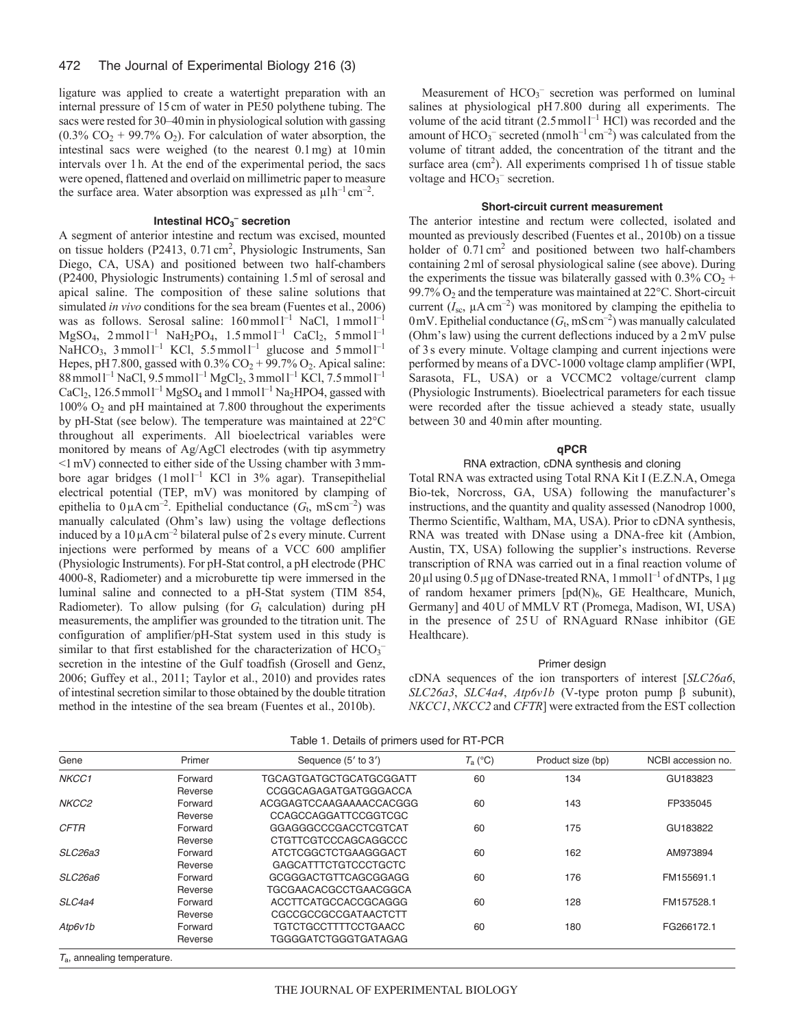#### 472 The Journal of Experimental Biology 216 (3)

ligature was applied to create a watertight preparation with an internal pressure of 15cm of water in PE50 polythene tubing. The sacs were rested for 30–40min in physiological solution with gassing  $(0.3\% \text{ CO}_2 + 99.7\% \text{ O}_2)$ . For calculation of water absorption, the intestinal sacs were weighed (to the nearest 0.1mg) at 10min intervals over 1h. At the end of the experimental period, the sacs were opened, flattened and overlaid on millimetric paper to measure the surface area. Water absorption was expressed as  $\mu$ lh<sup>-1</sup> cm<sup>-2</sup>.

# **Intestinal HCO3 – secretion**

A segment of anterior intestine and rectum was excised, mounted on tissue holders (P2413, 0.71 cm<sup>2</sup>, Physiologic Instruments, San Diego, CA, USA) and positioned between two half-chambers (P2400, Physiologic Instruments) containing 1.5ml of serosal and apical saline. The composition of these saline solutions that simulated *in vivo* conditions for the sea bream (Fuentes et al., 2006) was as follows. Serosal saline:  $160 \text{ mmol}^{-1}$  NaCl,  $1 \text{ mmol}^{-1}$  $MgSO_4$ , 2 mmol l<sup>-1</sup> NaH<sub>2</sub>PO<sub>4</sub>, 1.5 mmol l<sup>-1</sup> CaCl<sub>2</sub>, 5 mmol l<sup>-1</sup> NaHCO<sub>3</sub>,  $3 \text{ mmol } 1^{-1}$  KCl,  $5.5 \text{ mmol } 1^{-1}$  glucose and  $5 \text{ mmol } 1^{-1}$ Hepes, pH 7.800, gassed with  $0.3\%$  CO<sub>2</sub> + 99.7% O<sub>2</sub>. Apical saline: 88 mmol l<sup>-1</sup> NaCl, 9.5 mmol l<sup>-1</sup> MgCl<sub>2</sub>, 3 mmol l<sup>-1</sup> KCl, 7.5 mmol l<sup>-1</sup> CaCl<sub>2</sub>, 126.5 mmol<sup>1-1</sup> MgSO<sub>4</sub> and 1 mmol<sup>1-1</sup> Na<sub>2</sub>HPO4, gassed with  $100\%$  O<sub>2</sub> and pH maintained at 7.800 throughout the experiments by pH-Stat (see below). The temperature was maintained at 22°C throughout all experiments. All bioelectrical variables were monitored by means of Ag/AgCl electrodes (with tip asymmetry  $\leq 1$  mV) connected to either side of the Ussing chamber with 3 mmbore agar bridges  $(1 \text{ mol})^{-1}$  KCl in 3% agar). Transepithelial electrical potential (TEP, mV) was monitored by clamping of epithelia to  $0 \mu A \text{ cm}^{-2}$ . Epithelial conductance  $(G_t, \text{ mS cm}^{-2})$  was manually calculated (Ohm's law) using the voltage deflections induced by a  $10 \mu A \text{ cm}^{-2}$  bilateral pulse of 2s every minute. Current injections were performed by means of a VCC 600 amplifier (Physiologic Instruments). For pH-Stat control, a pH electrode (PHC 4000-8, Radiometer) and a microburette tip were immersed in the luminal saline and connected to a pH-Stat system (TIM 854, Radiometer). To allow pulsing (for  $G_t$  calculation) during pH measurements, the amplifier was grounded to the titration unit. The configuration of amplifier/pH-Stat system used in this study is similar to that first established for the characterization of  $HCO<sub>3</sub>$ secretion in the intestine of the Gulf toadfish (Grosell and Genz, 2006; Guffey et al., 2011; Taylor et al., 2010) and provides rates of intestinal secretion similar to those obtained by the double titration method in the intestine of the sea bream (Fuentes et al., 2010b).

Measurement of  $HCO<sub>3</sub><sup>-</sup>$  secretion was performed on luminal salines at physiological pH7.800 during all experiments. The volume of the acid titrant  $(2.5 \text{mmol}^{-1} \text{ HCl})$  was recorded and the amount of  $HCO_3^-$  secreted (nmol  $h^{-1}$  cm<sup>-2</sup>) was calculated from the volume of titrant added, the concentration of the titrant and the surface area  $(cm<sup>2</sup>)$ . All experiments comprised 1h of tissue stable voltage and HCO<sub>3</sub><sup>-</sup> secretion.

# **Short-circuit current measurement**

The anterior intestine and rectum were collected, isolated and mounted as previously described (Fuentes et al., 2010b) on a tissue holder of  $0.71 \text{ cm}^2$  and positioned between two half-chambers containing 2ml of serosal physiological saline (see above). During the experiments the tissue was bilaterally gassed with  $0.3\%$  CO<sub>2</sub> + 99.7% O2 and the temperature was maintained at 22°C. Short-circuit current  $(I_{sc}, \mu A \text{ cm}^{-2})$  was monitored by clamping the epithelia to 0mV. Epithelial conductance  $(G_t, mS \, \text{cm}^{-2})$  was manually calculated (Ohm's law) using the current deflections induced by a 2mV pulse of 3s every minute. Voltage clamping and current injections were performed by means of a DVC-1000 voltage clamp amplifier (WPI, Sarasota, FL, USA) or a VCCMC2 voltage/current clamp (Physiologic Instruments). Bioelectrical parameters for each tissue were recorded after the tissue achieved a steady state, usually between 30 and 40min after mounting.

#### **qPCR**

#### RNA extraction, cDNA synthesis and cloning

Total RNA was extracted using Total RNA Kit I (E.Z.N.A, Omega Bio-tek, Norcross, GA, USA) following the manufacturer's instructions, and the quantity and quality assessed (Nanodrop 1000, Thermo Scientific, Waltham, MA, USA). Prior to cDNA synthesis, RNA was treated with DNase using a DNA-free kit (Ambion, Austin, TX, USA) following the supplier's instructions. Reverse transcription of RNA was carried out in a final reaction volume of  $20 \,\mu$ l using 0.5  $\mu$ g of DNase-treated RNA, 1 mmol l<sup>-1</sup> of dNTPs, 1  $\mu$ g of random hexamer primers  $[pd(N)_6, GE$  Healthcare, Munich, Germany] and 40U of MMLV RT (Promega, Madison, WI, USA) in the presence of 25U of RNAguard RNase inhibitor (GE Healthcare).

#### Primer design

cDNA sequences of the ion transporters of interest [*SLC26a6*, *SLC26a3*, *SLC4a4*, *Atp6v1b* (V-type proton pump β subunit), *NKCC1*, *NKCC2* and *CFTR*] were extracted from the EST collection

| Gene        | Primer  | Sequence (5' to 3')         | $T_a$ (°C) | Product size (bp) | NCBI accession no. |
|-------------|---------|-----------------------------|------------|-------------------|--------------------|
| NKCC1       | Forward | TGCAGTGATGCTGCATGCGGATT     | 60         | 134               | GU183823           |
|             | Reverse | CCGGCAGAGATGATGGGACCA       |            |                   |                    |
| NKCC2       | Forward | ACGGAGTCCAAGAAAACCACGGG     | 60         | 143               | FP335045           |
|             | Reverse | CCAGCCAGGATTCCGGTCGC        |            |                   |                    |
| <b>CFTR</b> | Forward | GGAGGGCCCGACCTCGTCAT        | 60         | 175               | GU183822           |
|             | Reverse | CTGTTCGTCCCAGCAGGCCC        |            |                   |                    |
| SLC26a3     | Forward | ATCTCGGCTCTGAAGGGACT        | 60         | 162               | AM973894           |
|             | Reverse | <b>GAGCATTTCTGTCCCTGCTC</b> |            |                   |                    |
| SLC26a6     | Forward | GCGGGACTGTTCAGCGGAGG        | 60         | 176               | FM155691.1         |
|             | Reverse | TGCGAACACGCCTGAACGGCA       |            |                   |                    |
| SLC4a4      | Forward | ACCTTCATGCCACCGCAGGG        | 60         | 128               | FM157528.1         |
|             | Reverse | CGCCGCCGCCGATAACTCTT        |            |                   |                    |
| Atp6v1b     | Forward | TGTCTGCCTTTTCCTGAACC        | 60         | 180               | FG266172.1         |
|             | Reverse | <b>TGGGGATCTGGGTGATAGAG</b> |            |                   |                    |

Table 1. Details of primers used for RT-PCR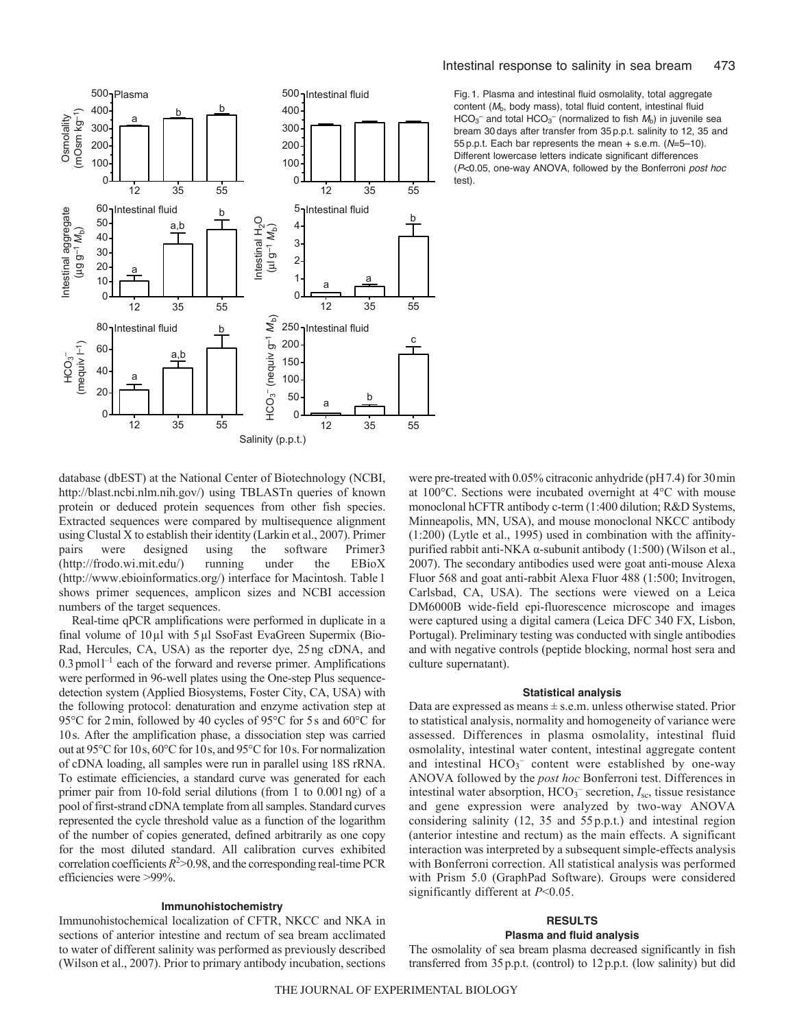

Fig. 1. Plasma and intestinal fluid osmolality, total aggregate content ( $M<sub>b</sub>$ , body mass), total fluid content, intestinal fluid  $HCO<sub>3</sub><sup>-</sup>$  and total  $HCO<sub>3</sub><sup>-</sup>$  (normalized to fish  $M<sub>b</sub>$ ) in juvenile sea bream 30 days after transfer from 35 p.p.t. salinity to 12, 35 and 55 p.p.t. Each bar represents the mean + s.e.m. (*N*=5–10). Different lowercase letters indicate significant differences (*P*<0.05, one-way ANOVA, followed by the Bonferroni *post hoc* test).

database (dbEST) at the National Center of Biotechnology (NCBI, http://blast.ncbi.nlm.nih.gov/) using TBLASTn queries of known protein or deduced protein sequences from other fish species. Extracted sequences were compared by multisequence alignment using Clustal X to establish their identity (Larkin et al., 2007). Primer pairs were designed using the software Primer3 (http://frodo.wi.mit.edu/) running under the EBioX (http://www.ebioinformatics.org/) interface for Macintosh. Table1 shows primer sequences, amplicon sizes and NCBI accession numbers of the target sequences.

Real-time qPCR amplifications were performed in duplicate in a final volume of 10µl with 5µl SsoFast EvaGreen Supermix (Bio-Rad, Hercules, CA, USA) as the reporter dye, 25ng cDNA, and  $0.3$  pmol<sup>1-1</sup> each of the forward and reverse primer. Amplifications were performed in 96-well plates using the One-step Plus sequencedetection system (Applied Biosystems, Foster City, CA, USA) with the following protocol: denaturation and enzyme activation step at 95°C for 2min, followed by 40 cycles of 95°C for 5s and 60°C for 10s. After the amplification phase, a dissociation step was carried out at 95°C for 10s, 60°C for 10s, and 95°C for 10s. For normalization of cDNA loading, all samples were run in parallel using 18S rRNA. To estimate efficiencies, a standard curve was generated for each primer pair from 10-fold serial dilutions (from 1 to 0.001ng) of a pool of first-strand cDNA template from all samples. Standard curves represented the cycle threshold value as a function of the logarithm of the number of copies generated, defined arbitrarily as one copy for the most diluted standard. All calibration curves exhibited correlation coefficients  $R^2 > 0.98$ , and the corresponding real-time PCR efficiencies were >99%.

#### **Immunohistochemistry**

Immunohistochemical localization of CFTR, NKCC and NKA in sections of anterior intestine and rectum of sea bream acclimated to water of different salinity was performed as previously described (Wilson et al., 2007). Prior to primary antibody incubation, sections were pre-treated with 0.05% citraconic anhydride (pH7.4) for 30min at 100°C. Sections were incubated overnight at 4°C with mouse monoclonal hCFTR antibody c-term (1:400 dilution; R&D Systems, Minneapolis, MN, USA), and mouse monoclonal NKCC antibody (1:200) (Lytle et al., 1995) used in combination with the affinitypurified rabbit anti-NKA α-subunit antibody (1:500) (Wilson et al., 2007). The secondary antibodies used were goat anti-mouse Alexa Fluor 568 and goat anti-rabbit Alexa Fluor 488 (1:500; Invitrogen, Carlsbad, CA, USA). The sections were viewed on a Leica DM6000B wide-field epi-fluorescence microscope and images were captured using a digital camera (Leica DFC 340 FX, Lisbon, Portugal). Preliminary testing was conducted with single antibodies and with negative controls (peptide blocking, normal host sera and culture supernatant).

## **Statistical analysis**

Data are expressed as means  $\pm$  s.e.m. unless otherwise stated. Prior to statistical analysis, normality and homogeneity of variance were assessed. Differences in plasma osmolality, intestinal fluid osmolality, intestinal water content, intestinal aggregate content and intestinal  $HCO_3^-$  content were established by one-way ANOVA followed by the *post hoc* Bonferroni test. Differences in intestinal water absorption, HCO<sub>3</sub><sup>-</sup> secretion, *I<sub>sc</sub>*, tissue resistance and gene expression were analyzed by two-way ANOVA considering salinity (12, 35 and 55 p.p.t.) and intestinal region (anterior intestine and rectum) as the main effects. A significant interaction was interpreted by a subsequent simple-effects analysis with Bonferroni correction. All statistical analysis was performed with Prism 5.0 (GraphPad Software). Groups were considered significantly different at *P*<0.05.

# **RESULTS**

# **Plasma and fluid analysis**

The osmolality of sea bream plasma decreased significantly in fish transferred from 35p.p.t. (control) to 12p.p.t. (low salinity) but did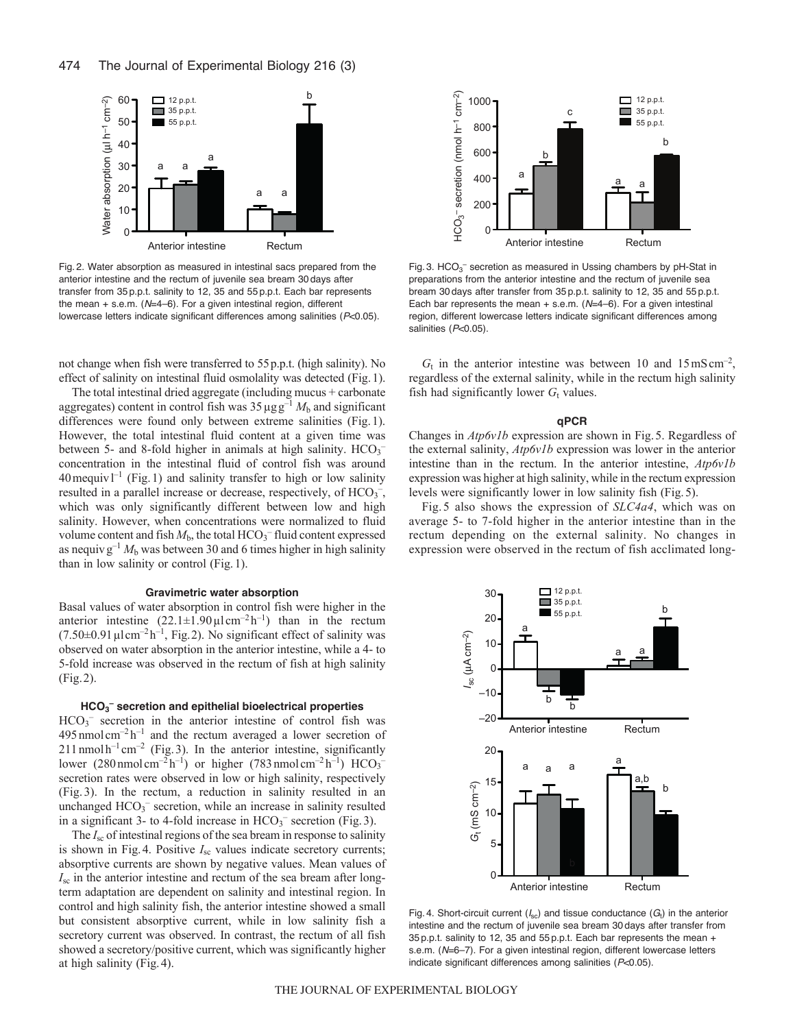

Fig. 2. Water absorption as measured in intestinal sacs prepared from the anterior intestine and the rectum of juvenile sea bream 30 days after transfer from 35 p.p.t. salinity to 12, 35 and 55 p.p.t. Each bar represents the mean + s.e.m. (*N*=4–6). For a given intestinal region, different lowercase letters indicate significant differences among salinities (*P*<0.05).

not change when fish were transferred to 55p.p.t. (high salinity). No effect of salinity on intestinal fluid osmolality was detected (Fig.1).

The total intestinal dried aggregate (including mucus + carbonate aggregates) content in control fish was  $35 \mu g g^{-1} M_b$  and significant differences were found only between extreme salinities (Fig.1). However, the total intestinal fluid content at a given time was between 5- and 8-fold higher in animals at high salinity.  $HCO<sub>3</sub>$ <sup>-</sup> concentration in the intestinal fluid of control fish was around  $40$  mequiv  $l^{-1}$  (Fig. 1) and salinity transfer to high or low salinity resulted in a parallel increase or decrease, respectively, of  $HCO_3^-$ , which was only significantly different between low and high salinity. However, when concentrations were normalized to fluid volume content and fish  $M_b$ , the total  $HCO_3^-$  fluid content expressed as nequivg<sup>-1</sup>  $M<sub>b</sub>$  was between 30 and 6 times higher in high salinity than in low salinity or control (Fig.1).

#### **Gravimetric water absorption**

Basal values of water absorption in control fish were higher in the anterior intestine  $(22.1 \pm 1.90 \,\mu \mathrm{l \, cm^{-2} \, h^{-1}})$  than in the rectum  $(7.50\pm0.91 \,\mu\mathrm{lcm}^{-2} \,\mathrm{h}^{-1}$ , Fig. 2). No significant effect of salinity was observed on water absorption in the anterior intestine, while a 4- to 5-fold increase was observed in the rectum of fish at high salinity (Fig.2).

# **HCO3 – secretion and epithelial bioelectrical properties**

 $HCO<sub>3</sub>$ <sup>-</sup> secretion in the anterior intestine of control fish was  $495$ nmol cm<sup>-2</sup> h<sup>-1</sup> and the rectum averaged a lower secretion of  $211$  nmol  $h^{-1}$  cm<sup>-2</sup> (Fig. 3). In the anterior intestine, significantly lower (280 nmol cm<sup>-2</sup>h<sup>-1</sup>) or higher (783 nmol cm<sup>-2</sup>h<sup>-1</sup>) HCO<sub>3</sub><sup>-</sup> secretion rates were observed in low or high salinity, respectively (Fig. 3). In the rectum, a reduction in salinity resulted in an unchanged HCO<sub>3</sub><sup>-</sup> secretion, while an increase in salinity resulted in a significant 3- to 4-fold increase in  $HCO<sub>3</sub><sup>-</sup>$  secretion (Fig. 3).

The *I*<sub>sc</sub> of intestinal regions of the sea bream in response to salinity is shown in Fig. 4. Positive  $I_{\text{sc}}$  values indicate secretory currents; absorptive currents are shown by negative values. Mean values of *I*sc in the anterior intestine and rectum of the sea bream after longterm adaptation are dependent on salinity and intestinal region. In control and high salinity fish, the anterior intestine showed a small but consistent absorptive current, while in low salinity fish a secretory current was observed. In contrast, the rectum of all fish showed a secretory/positive current, which was significantly higher at high salinity (Fig.4).



Fig. 3.  $HCO<sub>3</sub>$  secretion as measured in Ussing chambers by pH-Stat in preparations from the anterior intestine and the rectum of juvenile sea bream 30 days after transfer from 35 p.p.t. salinity to 12, 35 and 55 p.p.t. Each bar represents the mean + s.e.m. (*N*=4–6). For a given intestinal region, different lowercase letters indicate significant differences among salinities (P<0.05).

 $G_t$  in the anterior intestine was between 10 and  $15 \text{ mS cm}^{-2}$ , regardless of the external salinity, while in the rectum high salinity fish had significantly lower  $G_t$  values.

#### **qPCR**

Changes in *Atp6v1b* expression are shown in Fig.5. Regardless of the external salinity, *Atp6v1b* expression was lower in the anterior intestine than in the rectum. In the anterior intestine, *Atp6v1b* expression was higher at high salinity, while in the rectum expression levels were significantly lower in low salinity fish (Fig.5).

Fig. 5 also shows the expression of *SLC4a4*, which was on average 5- to 7-fold higher in the anterior intestine than in the rectum depending on the external salinity. No changes in expression were observed in the rectum of fish acclimated long-



Fig. 4. Short-circuit current  $(I_{\text{sc}})$  and tissue conductance  $(G_t)$  in the anterior intestine and the rectum of juvenile sea bream 30 days after transfer from 35 p.p.t. salinity to 12, 35 and 55 p.p.t. Each bar represents the mean + s.e.m. (*N*=6–7). For a given intestinal region, different lowercase letters indicate significant differences among salinities (*P*<0.05).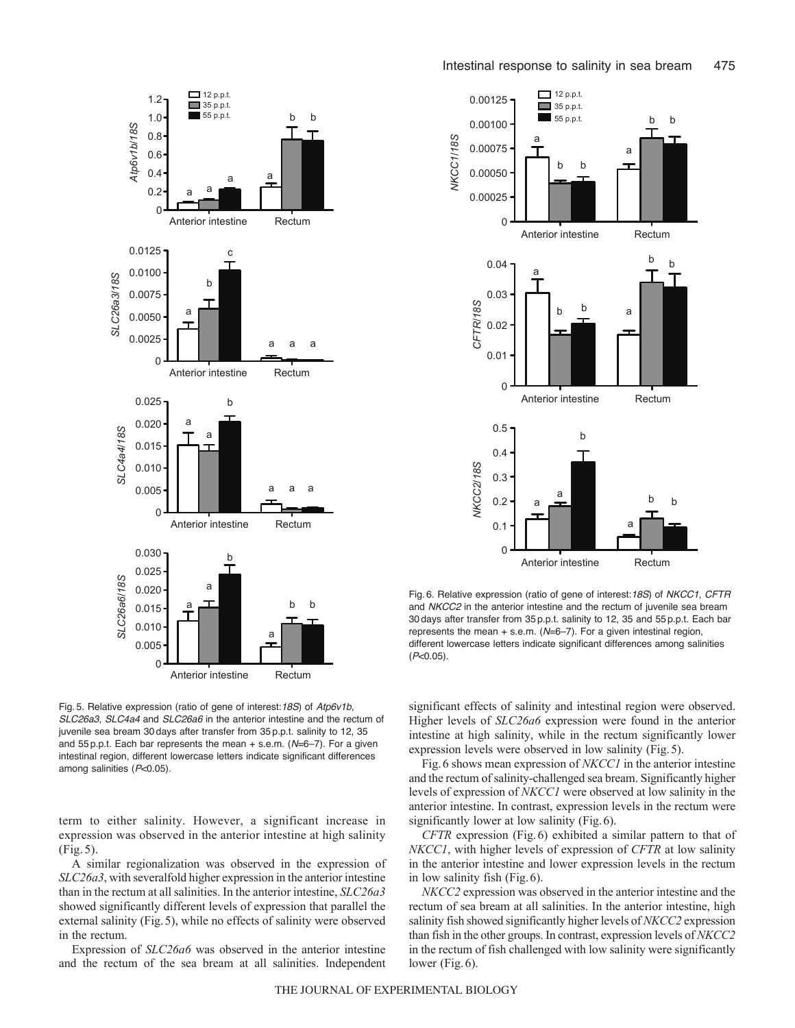



Fig. 6. Relative expression (ratio of gene of interest:*18S*) of *NKCC1*, *CFTR* and *NKCC2* in the anterior intestine and the rectum of juvenile sea bream 30 days after transfer from 35 p.p.t. salinity to 12, 35 and 55 p.p.t. Each bar represents the mean + s.e.m. (*N*=6–7). For a given intestinal region, different lowercase letters indicate significant differences among salinities (*P*<0.05).

Fig. 5. Relative expression (ratio of gene of interest:*18S*) of *Atp6v1b*, *SLC26a3*, *SLC4a4* and *SLC26a6* in the anterior intestine and the rectum of juvenile sea bream 30 days after transfer from 35 p.p.t. salinity to 12, 35 and 55 p.p.t. Each bar represents the mean + s.e.m. (*N*=6–7). For a given intestinal region, different lowercase letters indicate significant differences among salinities (*P*<0.05).

term to either salinity. However, a significant increase in expression was observed in the anterior intestine at high salinity (Fig. 5).

A similar regionalization was observed in the expression of *SLC26a3*, with severalfold higher expression in the anterior intestine than in the rectum at all salinities. In the anterior intestine, *SLC26a3* showed significantly different levels of expression that parallel the external salinity (Fig.5), while no effects of salinity were observed in the rectum.

Expression of *SLC26a6* was observed in the anterior intestine and the rectum of the sea bream at all salinities. Independent significant effects of salinity and intestinal region were observed. Higher levels of *SLC26a6* expression were found in the anterior intestine at high salinity, while in the rectum significantly lower expression levels were observed in low salinity (Fig.5).

Fig.6 shows mean expression of *NKCC1* in the anterior intestine and the rectum of salinity-challenged sea bream. Significantly higher levels of expression of *NKCC1* were observed at low salinity in the anterior intestine. In contrast, expression levels in the rectum were significantly lower at low salinity (Fig. 6).

*CFTR* expression (Fig.6) exhibited a similar pattern to that of *NKCC1*, with higher levels of expression of *CFTR* at low salinity in the anterior intestine and lower expression levels in the rectum in low salinity fish (Fig.6).

*NKCC2* expression was observed in the anterior intestine and the rectum of sea bream at all salinities. In the anterior intestine, high salinity fish showed significantly higher levels of *NKCC2* expression than fish in the other groups. In contrast, expression levels of *NKCC2* in the rectum of fish challenged with low salinity were significantly lower (Fig. 6).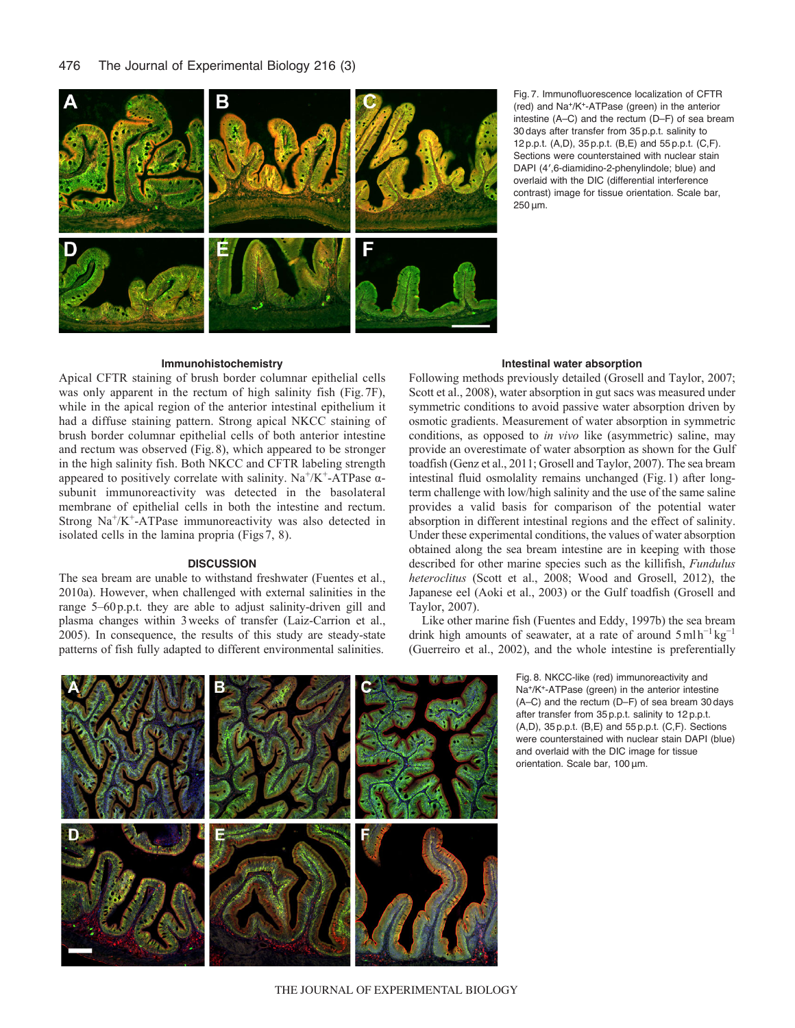

Fig. 7. Immunofluorescence localization of CFTR (red) and Na+/K+-ATPase (green) in the anterior intestine (A–C) and the rectum (D–F) of sea bream 30 days after transfer from 35 p.p.t. salinity to 12 p.p.t. (A,D), 35 p.p.t. (B,E) and 55 p.p.t. (C,F). Sections were counterstained with nuclear stain DAPI (4′,6-diamidino-2-phenylindole; blue) and overlaid with the DIC (differential interference contrast) image for tissue orientation. Scale bar, 250μm.

# **Immunohistochemistry**

Apical CFTR staining of brush border columnar epithelial cells was only apparent in the rectum of high salinity fish (Fig.7F), while in the apical region of the anterior intestinal epithelium it had a diffuse staining pattern. Strong apical NKCC staining of brush border columnar epithelial cells of both anterior intestine and rectum was observed (Fig.8), which appeared to be stronger in the high salinity fish. Both NKCC and CFTR labeling strength appeared to positively correlate with salinity.  $Na^+/K^+$ -ATPase  $\alpha$ subunit immunoreactivity was detected in the basolateral membrane of epithelial cells in both the intestine and rectum. Strong  $Na^{+}/K^{+}$ -ATPase immunoreactivity was also detected in isolated cells in the lamina propria (Figs7, 8).

# **DISCUSSION**

The sea bream are unable to withstand freshwater (Fuentes et al., 2010a). However, when challenged with external salinities in the range 5–60p.p.t. they are able to adjust salinity-driven gill and plasma changes within 3weeks of transfer (Laiz-Carrion et al., 2005). In consequence, the results of this study are steady-state patterns of fish fully adapted to different environmental salinities.

# **Intestinal water absorption**

Following methods previously detailed (Grosell and Taylor, 2007; Scott et al., 2008), water absorption in gut sacs was measured under symmetric conditions to avoid passive water absorption driven by osmotic gradients. Measurement of water absorption in symmetric conditions, as opposed to *in vivo* like (asymmetric) saline, may provide an overestimate of water absorption as shown for the Gulf toadfish (Genz et al., 2011; Grosell and Taylor, 2007). The sea bream intestinal fluid osmolality remains unchanged (Fig.1) after longterm challenge with low/high salinity and the use of the same saline provides a valid basis for comparison of the potential water absorption in different intestinal regions and the effect of salinity. Under these experimental conditions, the values of water absorption obtained along the sea bream intestine are in keeping with those described for other marine species such as the killifish, *Fundulus heteroclitus* (Scott et al., 2008; Wood and Grosell, 2012), the Japanese eel (Aoki et al., 2003) or the Gulf toadfish (Grosell and Taylor, 2007).

Like other marine fish (Fuentes and Eddy, 1997b) the sea bream drink high amounts of seawater, at a rate of around 5mlh<sup>-1</sup> kg<sup>-1</sup> (Guerreiro et al., 2002), and the whole intestine is preferentially

> Fig. 8. NKCC-like (red) immunoreactivity and Na+/K+-ATPase (green) in the anterior intestine (A–C) and the rectum (D–F) of sea bream 30 days after transfer from 35 p.p.t. salinity to 12 p.p.t.  $(A, D)$ ,  $35 p.p.t.$   $(B, E)$  and  $55 p.p.t.$   $(C, F)$ . Sections were counterstained with nuclear stain DAPI (blue) and overlaid with the DIC image for tissue orientation. Scale bar, 100μm.

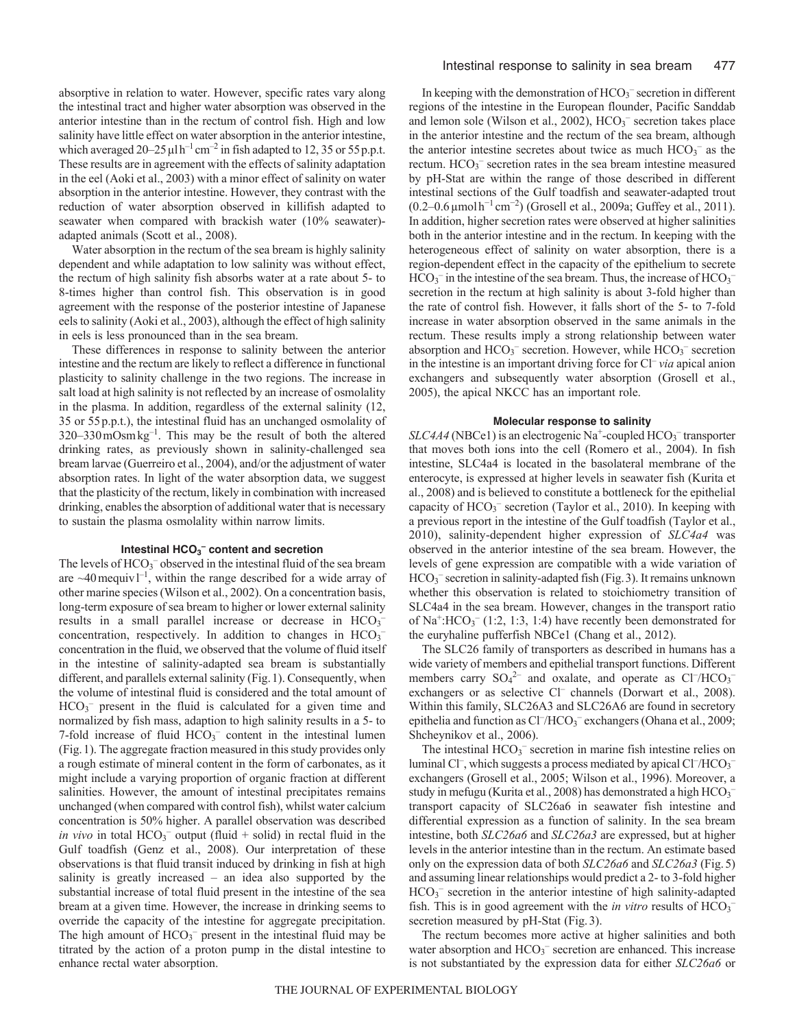absorptive in relation to water. However, specific rates vary along the intestinal tract and higher water absorption was observed in the anterior intestine than in the rectum of control fish. High and low salinity have little effect on water absorption in the anterior intestine, which averaged  $20-25 \mu l h^{-1}$  cm<sup>-2</sup> in fish adapted to 12, 35 or 55 p.p.t. These results are in agreement with the effects of salinity adaptation in the eel (Aoki et al., 2003) with a minor effect of salinity on water absorption in the anterior intestine. However, they contrast with the reduction of water absorption observed in killifish adapted to seawater when compared with brackish water (10% seawater) adapted animals (Scott et al., 2008).

Water absorption in the rectum of the sea bream is highly salinity dependent and while adaptation to low salinity was without effect, the rectum of high salinity fish absorbs water at a rate about 5- to 8-times higher than control fish. This observation is in good agreement with the response of the posterior intestine of Japanese eels to salinity (Aoki et al., 2003), although the effect of high salinity in eels is less pronounced than in the sea bream.

These differences in response to salinity between the anterior intestine and the rectum are likely to reflect a difference in functional plasticity to salinity challenge in the two regions. The increase in salt load at high salinity is not reflected by an increase of osmolality in the plasma. In addition, regardless of the external salinity (12, 35 or 55p.p.t.), the intestinal fluid has an unchanged osmolality of  $320-330 \,\text{mOsm}\,\text{kg}^{-1}$ . This may be the result of both the altered drinking rates, as previously shown in salinity-challenged sea bream larvae (Guerreiro et al., 2004), and/or the adjustment of water absorption rates. In light of the water absorption data, we suggest that the plasticity of the rectum, likely in combination with increased drinking, enables the absorption of additional water that is necessary to sustain the plasma osmolality within narrow limits.

# Intestinal HCO<sub>3</sub><sup>-</sup> content and secretion

The levels of HCO<sub>3</sub><sup>-</sup> observed in the intestinal fluid of the sea bream are  $\sim$ 40 mequiv  $1^{-1}$ , within the range described for a wide array of other marine species (Wilson et al., 2002). On a concentration basis, long-term exposure of sea bream to higher or lower external salinity results in a small parallel increase or decrease in  $HCO<sub>3</sub>$ concentration, respectively. In addition to changes in  $HCO<sub>3</sub>$ concentration in the fluid, we observed that the volume of fluid itself in the intestine of salinity-adapted sea bream is substantially different, and parallels external salinity (Fig.1). Consequently, when the volume of intestinal fluid is considered and the total amount of  $HCO<sub>3</sub><sup>-</sup>$  present in the fluid is calculated for a given time and normalized by fish mass, adaption to high salinity results in a 5- to 7-fold increase of fluid  $HCO<sub>3</sub><sup>-</sup>$  content in the intestinal lumen (Fig.1). The aggregate fraction measured in this study provides only a rough estimate of mineral content in the form of carbonates, as it might include a varying proportion of organic fraction at different salinities. However, the amount of intestinal precipitates remains unchanged (when compared with control fish), whilst water calcium concentration is 50% higher. A parallel observation was described *in vivo* in total  $HCO_3^-$  output (fluid + solid) in rectal fluid in the Gulf toadfish (Genz et al., 2008). Our interpretation of these observations is that fluid transit induced by drinking in fish at high salinity is greatly increased – an idea also supported by the substantial increase of total fluid present in the intestine of the sea bream at a given time. However, the increase in drinking seems to override the capacity of the intestine for aggregate precipitation. The high amount of  $HCO_3^-$  present in the intestinal fluid may be titrated by the action of a proton pump in the distal intestine to enhance rectal water absorption.

In keeping with the demonstration of  $HCO_3^-$  secretion in different regions of the intestine in the European flounder, Pacific Sanddab and lemon sole (Wilson et al.,  $2002$ ),  $HCO<sub>3</sub>$ <sup>-</sup> secretion takes place in the anterior intestine and the rectum of the sea bream, although the anterior intestine secretes about twice as much  $HCO_3^-$  as the rectum. HCO<sub>3</sub><sup>-</sup> secretion rates in the sea bream intestine measured by pH-Stat are within the range of those described in different intestinal sections of the Gulf toadfish and seawater-adapted trout (0.2–0.6µmolh<sup>−</sup><sup>1</sup> cm<sup>−</sup><sup>2</sup> ) (Grosell et al., 2009a; Guffey et al., 2011). In addition, higher secretion rates were observed at higher salinities both in the anterior intestine and in the rectum. In keeping with the heterogeneous effect of salinity on water absorption, there is a region-dependent effect in the capacity of the epithelium to secrete  $HCO<sub>3</sub><sup>-</sup>$  in the intestine of the sea bream. Thus, the increase of  $HCO<sub>3</sub>$ secretion in the rectum at high salinity is about 3-fold higher than the rate of control fish. However, it falls short of the 5- to 7-fold increase in water absorption observed in the same animals in the rectum. These results imply a strong relationship between water absorption and HCO<sub>3</sub><sup>-</sup> secretion. However, while HCO<sub>3</sub><sup>-</sup> secretion in the intestine is an important driving force for Cl– *via* apical anion exchangers and subsequently water absorption (Grosell et al., 2005), the apical NKCC has an important role.

#### **Molecular response to salinity**

SLC4A4 (NBCe1) is an electrogenic Na<sup>+</sup>-coupled HCO<sub>3</sub><sup>-</sup> transporter that moves both ions into the cell (Romero et al., 2004). In fish intestine, SLC4a4 is located in the basolateral membrane of the enterocyte, is expressed at higher levels in seawater fish (Kurita et al., 2008) and is believed to constitute a bottleneck for the epithelial capacity of HCO<sub>3</sub><sup>-</sup> secretion (Taylor et al., 2010). In keeping with a previous report in the intestine of the Gulf toadfish (Taylor et al., 2010), salinity-dependent higher expression of *SLC4a4* was observed in the anterior intestine of the sea bream. However, the levels of gene expression are compatible with a wide variation of HCO3 – secretion in salinity-adapted fish (Fig.3). It remains unknown whether this observation is related to stoichiometry transition of SLC4a4 in the sea bream. However, changes in the transport ratio of  $Na^+$ :HCO<sub>3</sub><sup>-</sup> (1:2, 1:3, 1:4) have recently been demonstrated for the euryhaline pufferfish NBCe1 (Chang et al., 2012).

The SLC26 family of transporters as described in humans has a wide variety of members and epithelial transport functions. Different members carry  $SO_4^2$  and oxalate, and operate as  $Cl^-/HCO_3^$ exchangers or as selective Cl<sup>-</sup> channels (Dorwart et al., 2008). Within this family, SLC26A3 and SLC26A6 are found in secretory epithelia and function as Cl<sup>-</sup>/HCO<sub>3</sub><sup>-</sup> exchangers (Ohana et al., 2009; Shcheynikov et al., 2006).

The intestinal  $HCO<sub>3</sub><sup>-</sup>$  secretion in marine fish intestine relies on luminal Cl<sup>-</sup>, which suggests a process mediated by apical Cl<sup>-</sup>/HCO<sub>3</sub><sup>-</sup> exchangers (Grosell et al., 2005; Wilson et al., 1996). Moreover, a study in mefugu (Kurita et al., 2008) has demonstrated a high  $HCO_3^$ transport capacity of SLC26a6 in seawater fish intestine and differential expression as a function of salinity. In the sea bream intestine, both *SLC26a6* and *SLC26a3* are expressed, but at higher levels in the anterior intestine than in the rectum. An estimate based only on the expression data of both *SLC26a6* and *SLC26a3* (Fig.5) and assuming linear relationships would predict a 2- to 3-fold higher HCO<sub>3</sub><sup>-</sup> secretion in the anterior intestine of high salinity-adapted fish. This is in good agreement with the *in vitro* results of HCO<sub>3</sub><sup>-</sup> secretion measured by pH-Stat (Fig. 3).

The rectum becomes more active at higher salinities and both water absorption and HCO<sub>3</sub><sup>-</sup> secretion are enhanced. This increase is not substantiated by the expression data for either *SLC26a6* or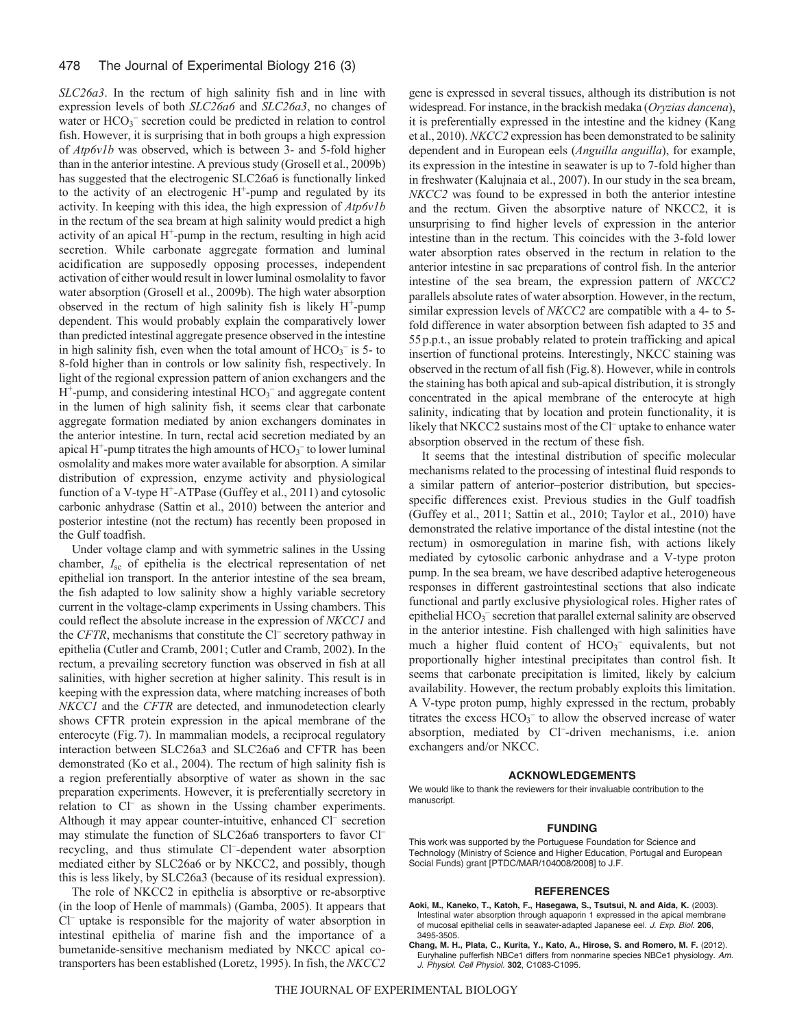*SLC26a3*. In the rectum of high salinity fish and in line with expression levels of both *SLC26a6* and *SLC26a3*, no changes of water or HCO<sub>3</sub><sup>-</sup> secretion could be predicted in relation to control fish. However, it is surprising that in both groups a high expression of *Atp6v1b* was observed, which is between 3- and 5-fold higher than in the anterior intestine. A previous study (Grosell et al., 2009b) has suggested that the electrogenic SLC26a6 is functionally linked to the activity of an electrogenic  $H^+$ -pump and regulated by its activity. In keeping with this idea, the high expression of *Atp6v1b* in the rectum of the sea bream at high salinity would predict a high activity of an apical  $H^+$ -pump in the rectum, resulting in high acid secretion. While carbonate aggregate formation and luminal acidification are supposedly opposing processes, independent activation of either would result in lower luminal osmolality to favor water absorption (Grosell et al., 2009b). The high water absorption observed in the rectum of high salinity fish is likely  $H^+$ -pump dependent. This would probably explain the comparatively lower than predicted intestinal aggregate presence observed in the intestine in high salinity fish, even when the total amount of  $HCO_3^-$  is 5- to 8-fold higher than in controls or low salinity fish, respectively. In light of the regional expression pattern of anion exchangers and the  $H^+$ -pump, and considering intestinal  $HCO_3^-$  and aggregate content in the lumen of high salinity fish, it seems clear that carbonate aggregate formation mediated by anion exchangers dominates in the anterior intestine. In turn, rectal acid secretion mediated by an apical H<sup>+</sup>-pump titrates the high amounts of  $HCO_3^-$  to lower luminal osmolality and makes more water available for absorption. A similar distribution of expression, enzyme activity and physiological function of a V-type  $H^+$ -ATPase (Guffey et al., 2011) and cytosolic carbonic anhydrase (Sattin et al., 2010) between the anterior and posterior intestine (not the rectum) has recently been proposed in the Gulf toadfish.

Under voltage clamp and with symmetric salines in the Ussing chamber, *I*sc of epithelia is the electrical representation of net epithelial ion transport. In the anterior intestine of the sea bream, the fish adapted to low salinity show a highly variable secretory current in the voltage-clamp experiments in Ussing chambers. This could reflect the absolute increase in the expression of *NKCC1* and the *CFTR*, mechanisms that constitute the Cl<sup>-</sup> secretory pathway in epithelia (Cutler and Cramb, 2001; Cutler and Cramb, 2002). In the rectum, a prevailing secretory function was observed in fish at all salinities, with higher secretion at higher salinity. This result is in keeping with the expression data, where matching increases of both *NKCC1* and the *CFTR* are detected, and inmunodetection clearly shows CFTR protein expression in the apical membrane of the enterocyte (Fig.7). In mammalian models, a reciprocal regulatory interaction between SLC26a3 and SLC26a6 and CFTR has been demonstrated (Ko et al., 2004). The rectum of high salinity fish is a region preferentially absorptive of water as shown in the sac preparation experiments. However, it is preferentially secretory in relation to Cl– as shown in the Ussing chamber experiments. Although it may appear counter-intuitive, enhanced Cl<sup>–</sup> secretion may stimulate the function of SLC26a6 transporters to favor Cl– recycling, and thus stimulate Cl<sup>-</sup>-dependent water absorption mediated either by SLC26a6 or by NKCC2, and possibly, though this is less likely, by SLC26a3 (because of its residual expression).

The role of NKCC2 in epithelia is absorptive or re-absorptive (in the loop of Henle of mammals) (Gamba, 2005). It appears that Cl– uptake is responsible for the majority of water absorption in intestinal epithelia of marine fish and the importance of a bumetanide-sensitive mechanism mediated by NKCC apical cotransporters has been established (Loretz, 1995). In fish, the *NKCC2* gene is expressed in several tissues, although its distribution is not widespread. For instance, in the brackish medaka (*Oryzias dancena*), it is preferentially expressed in the intestine and the kidney (Kang et al., 2010). *NKCC2* expression has been demonstrated to be salinity dependent and in European eels (*Anguilla anguilla*), for example, its expression in the intestine in seawater is up to 7-fold higher than in freshwater (Kalujnaia et al., 2007). In our study in the sea bream, *NKCC2* was found to be expressed in both the anterior intestine and the rectum. Given the absorptive nature of NKCC2, it is unsurprising to find higher levels of expression in the anterior intestine than in the rectum. This coincides with the 3-fold lower water absorption rates observed in the rectum in relation to the anterior intestine in sac preparations of control fish. In the anterior intestine of the sea bream, the expression pattern of *NKCC2* parallels absolute rates of water absorption. However, in the rectum, similar expression levels of *NKCC2* are compatible with a 4- to 5 fold difference in water absorption between fish adapted to 35 and 55p.p.t., an issue probably related to protein trafficking and apical insertion of functional proteins. Interestingly, NKCC staining was observed in the rectum of all fish (Fig.8). However, while in controls the staining has both apical and sub-apical distribution, it is strongly concentrated in the apical membrane of the enterocyte at high salinity, indicating that by location and protein functionality, it is likely that NKCC2 sustains most of the Cl<sup>-</sup> uptake to enhance water absorption observed in the rectum of these fish.

It seems that the intestinal distribution of specific molecular mechanisms related to the processing of intestinal fluid responds to a similar pattern of anterior–posterior distribution, but speciesspecific differences exist. Previous studies in the Gulf toadfish (Guffey et al., 2011; Sattin et al., 2010; Taylor et al., 2010) have demonstrated the relative importance of the distal intestine (not the rectum) in osmoregulation in marine fish, with actions likely mediated by cytosolic carbonic anhydrase and a V-type proton pump. In the sea bream, we have described adaptive heterogeneous responses in different gastrointestinal sections that also indicate functional and partly exclusive physiological roles. Higher rates of epithelial HCO<sub>3</sub><sup>-</sup> secretion that parallel external salinity are observed in the anterior intestine. Fish challenged with high salinities have much a higher fluid content of  $HCO<sub>3</sub><sup>-</sup>$  equivalents, but not proportionally higher intestinal precipitates than control fish. It seems that carbonate precipitation is limited, likely by calcium availability. However, the rectum probably exploits this limitation. A V-type proton pump, highly expressed in the rectum, probably titrates the excess  $HCO<sub>3</sub><sup>-</sup>$  to allow the observed increase of water absorption, mediated by Cl<sup>-</sup>-driven mechanisms, i.e. anion exchangers and/or NKCC.

#### **ACKNOWLEDGEMENTS**

We would like to thank the reviewers for their invaluable contribution to the manuscript.

#### **FUNDING**

This work was supported by the Portuguese Foundation for Science and Technology (Ministry of Science and Higher Education, Portugal and European Social Funds) grant [PTDC/MAR/104008/2008] to J.F.

#### **REFERENCES**

- **Aoki, M., Kaneko, T., Katoh, F., Hasegawa, S., Tsutsui, N. and Aida, K.** (2003). Intestinal water absorption through aquaporin 1 expressed in the apical membrane of mucosal epithelial cells in seawater-adapted Japanese eel. *J. Exp. Biol.* **206**, 3495-3505.
- **Chang, M. H., Plata, C., Kurita, Y., Kato, A., Hirose, S. and Romero, M. F.** (2012). Euryhaline pufferfish NBCe1 differs from nonmarine species NBCe1 physiology. *Am. J. Physiol. Cell Physiol.* **302**, C1083-C1095.